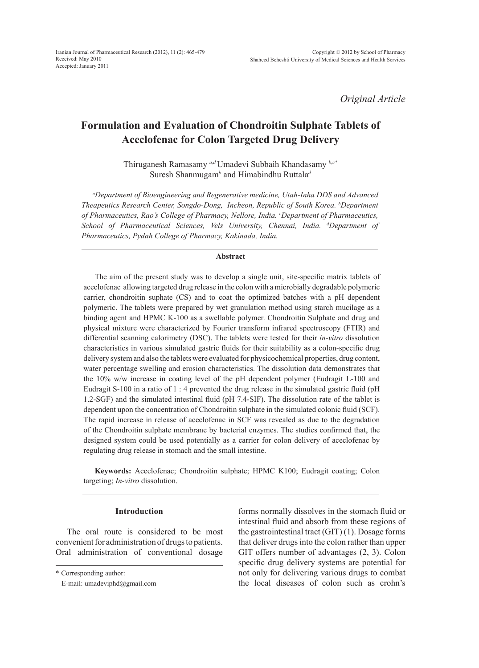*Original Article*

# **Formulation and Evaluation of Chondroitin Sulphate Tablets of Aceclofenac for Colon Targeted Drug Delivery**

Thiruganesh Ramasamy *a,d* Umadevi Subbaih Khandasamy *b,c\** Suresh Shanmugam*<sup>b</sup>* and Himabindhu Ruttala*<sup>d</sup>*

*a Department of Bioengineering and Regenerative medicine, Utah-Inha DDS and Advanced Theapeutics Research Center, Songdo-Dong, Incheon, Republic of South Korea. b Department of Pharmaceutics, Rao's College of Pharmacy, Nellore, India. c Department of Pharmaceutics, School of Pharmaceutical Sciences, Vels University, Chennai, India. d Department of Pharmaceutics, Pydah College of Pharmacy, Kakinada, India.*

## **Abstract**

The aim of the present study was to develop a single unit, site-specific matrix tablets of aceclofenac allowing targeted drug release in the colon with a microbially degradable polymeric carrier, chondroitin suphate (CS) and to coat the optimized batches with a pH dependent polymeric. The tablets were prepared by wet granulation method using starch mucilage as a binding agent and HPMC K-100 as a swellable polymer. Chondroitin Sulphate and drug and physical mixture were characterized by Fourier transform infrared spectroscopy (FTIR) and differential scanning calorimetry (DSC). The tablets were tested for their *in-vitro* dissolution characteristics in various simulated gastric fluids for their suitability as a colon-specific drug delivery system and also the tablets were evaluated for physicochemical properties, drug content, water percentage swelling and erosion characteristics. The dissolution data demonstrates that the 10% w/w increase in coating level of the pH dependent polymer (Eudragit L-100 and Eudragit S-100 in a ratio of 1 : 4 prevented the drug release in the simulated gastric fluid (pH 1.2-SGF) and the simulated intestinal fluid (pH 7.4-SIF). The dissolution rate of the tablet is dependent upon the concentration of Chondroitin sulphate in the simulated colonic fluid (SCF). The rapid increase in release of aceclofenac in SCF was revealed as due to the degradation of the Chondroitin sulphate membrane by bacterial enzymes. The studies confirmed that, the designed system could be used potentially as a carrier for colon delivery of aceclofenac by regulating drug release in stomach and the small intestine.

**Keywords:** Aceclofenac; Chondroitin sulphate; HPMC K100; Eudragit coating; Colon targeting; *In-vitro* dissolution.

## **Introduction**

The oral route is considered to be most convenient for administration of drugs to patients. Oral administration of conventional dosage forms normally dissolves in the stomach fluid or intestinal fluid and absorb from these regions of the gastrointestinal tract (GIT) (1). Dosage forms that deliver drugs into the colon rather than upper GIT offers number of advantages (2, 3). Colon specific drug delivery systems are potential for not only for delivering various drugs to combat the local diseases of colon such as crohn's

<sup>\*</sup> Corresponding author:

E-mail: umadeviphd@gmail.com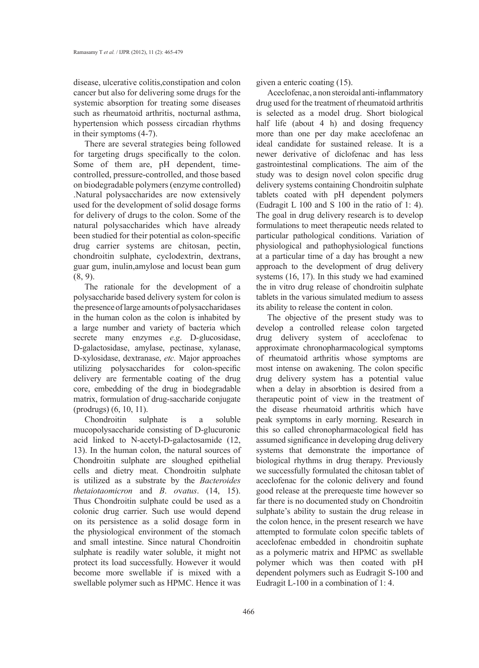disease, ulcerative colitis,constipation and colon cancer but also for delivering some drugs for the systemic absorption for treating some diseases such as rheumatoid arthritis, nocturnal asthma, hypertension which possess circadian rhythms in their symptoms (4-7).

There are several strategies being followed for targeting drugs specifically to the colon. Some of them are, pH dependent, timecontrolled, pressure-controlled, and those based on biodegradable polymers (enzyme controlled) .Natural polysaccharides are now extensively used for the development of solid dosage forms for delivery of drugs to the colon. Some of the natural polysaccharides which have already been studied for their potential as colon-specific drug carrier systems are chitosan, pectin, chondroitin sulphate, cyclodextrin, dextrans, guar gum, inulin,amylose and locust bean gum (8, 9).

The rationale for the development of a polysaccharide based delivery system for colon is the presence of large amounts of polysaccharidases in the human colon as the colon is inhabited by a large number and variety of bacteria which secrete many enzymes *e.g*. D-glucosidase, D-galactosidase, amylase, pectinase, xylanase, D-xylosidase, dextranase, *etc.* Major approaches utilizing polysaccharides for colon-specific delivery are fermentable coating of the drug core, embedding of the drug in biodegradable matrix, formulation of drug-saccharide conjugate (prodrugs) (6, 10, 11).

Chondroitin sulphate is a soluble mucopolysaccharide consisting of D-glucuronic acid linked to N-acetyl-D-galactosamide (12, 13). In the human colon, the natural sources of Chondroitin sulphate are sloughed epithelial cells and dietry meat. Chondroitin sulphate is utilized as a substrate by the *Bacteroides thetaiotaomicron* and *B*. *o*v*atus*. (14, 15). Thus Chondroitin sulphate could be used as a colonic drug carrier. Such use would depend on its persistence as a solid dosage form in the physiological environment of the stomach and small intestine. Since natural Chondroitin sulphate is readily water soluble, it might not protect its load successfully. However it would become more swellable if is mixed with a swellable polymer such as HPMC. Hence it was

given a enteric coating (15).

Aceclofenac, a non steroidal anti-inflammatory drug used for the treatment of rheumatoid arthritis is selected as a model drug. Short biological half life (about 4 h) and dosing frequency more than one per day make aceclofenac an ideal candidate for sustained release. It is a newer derivative of diclofenac and has less gastrointestinal complications. The aim of the study was to design novel colon specific drug delivery systems containing Chondroitin sulphate tablets coated with pH dependent polymers (Eudragit L 100 and S 100 in the ratio of 1: 4). The goal in drug delivery research is to develop formulations to meet therapeutic needs related to particular pathological conditions. Variation of physiological and pathophysiological functions at a particular time of a day has brought a new approach to the development of drug delivery systems (16, 17). In this study we had examined the in vitro drug release of chondroitin sulphate tablets in the various simulated medium to assess its ability to release the content in colon.

The objective of the present study was to develop a controlled release colon targeted drug delivery system of aceclofenac to approximate chronopharmacological symptoms of rheumatoid arthritis whose symptoms are most intense on awakening. The colon specific drug delivery system has a potential value when a delay in absorbtion is desired from a therapeutic point of view in the treatment of the disease rheumatoid arthritis which have peak symptoms in early morning. Research in this so called chronopharmacological field has assumed significance in developing drug delivery systems that demonstrate the importance of biological rhythms in drug therapy. Previously we successfully formulated the chitosan tablet of aceclofenac for the colonic delivery and found good release at the prerequeste time however so far there is no documented study on Chondroitin sulphate's ability to sustain the drug release in the colon hence, in the present research we have attempted to formulate colon specific tablets of aceclofenac embedded in chondroitin suphate as a polymeric matrix and HPMC as swellable polymer which was then coated with pH dependent polymers such as Eudragit S-100 and Eudragit L-100 in a combination of 1: 4.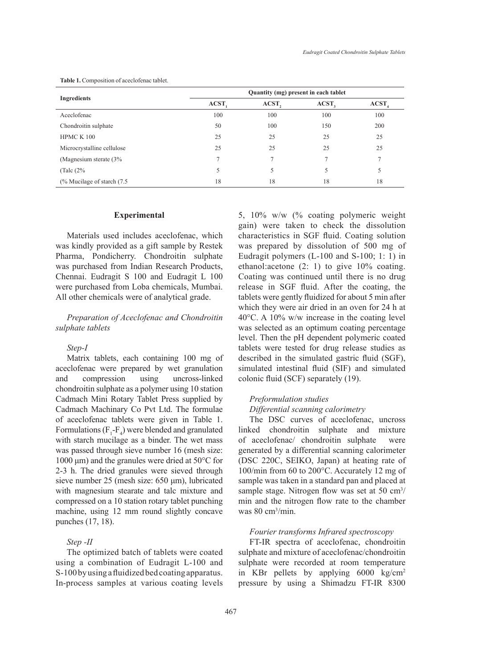|                                        | Quantity (mg) present in each tablet |       |                   |                   |  |
|----------------------------------------|--------------------------------------|-------|-------------------|-------------------|--|
| Ingredients                            | ACST,                                | ACST, | ACST <sub>2</sub> | ACST <sub>4</sub> |  |
| Aceclofenac                            | 100                                  | 100   | 100               | 100               |  |
| Chondroitin sulphate                   | 50                                   | 100   | 150               | 200               |  |
| HPMC K 100                             | 25                                   | 25    | 25                | 25                |  |
| Microcrystalline cellulose             | 25                                   | 25    | 25                | 25                |  |
| (Magnesium sterate $(3\%$              |                                      | 7     | π                 |                   |  |
| (Talc $(2\%$                           | 5                                    | 5     | 5                 | 5                 |  |
| $\frac{9}{6}$ Mucilage of starch (7.5) | 18                                   | 18    | 18                | 18                |  |

**Table 1.** Composition of aceclofenac tablet.

#### **Experimental**

Materials used includes aceclofenac, which was kindly provided as a gift sample by Restek Pharma, Pondicherry. Chondroitin sulphate was purchased from Indian Research Products, Chennai. Eudragit S 100 and Eudragit L 100 were purchased from Loba chemicals, Mumbai. All other chemicals were of analytical grade.

# *Preparation of Aceclofenac and Chondroitin sulphate tablets*

## *Step-I*

Matrix tablets, each containing 100 mg of aceclofenac were prepared by wet granulation and compression using uncross-linked chondroitin sulphate as a polymer using 10 station Cadmach Mini Rotary Tablet Press supplied by Cadmach Machinary Co Pvt Ltd. The formulae of aceclofenac tablets were given in Table 1. Formulations ( $F_1$ - $F_4$ ) were blended and granulated with starch mucilage as a binder. The wet mass was passed through sieve number 16 (mesh size: 1000 μm) and the granules were dried at 50°C for 2-3 h. The dried granules were sieved through sieve number 25 (mesh size: 650 μm), lubricated with magnesium stearate and talc mixture and compressed on a 10 station rotary tablet punching machine, using 12 mm round slightly concave punches (17, 18).

## *Step -II*

The optimized batch of tablets were coated using a combination of Eudragit L-100 and S-100 by using a fluidized bed coating apparatus. In-process samples at various coating levels 5, 10% w/w (% coating polymeric weight gain) were taken to check the dissolution characteristics in SGF fluid. Coating solution was prepared by dissolution of 500 mg of Eudragit polymers (L-100 and S-100; 1: 1) in ethanol:acetone (2: 1) to give 10% coating. Coating was continued until there is no drug release in SGF fluid. After the coating, the tablets were gently fluidized for about 5 min after which they were air dried in an oven for 24 h at 40°C. A 10% w/w increase in the coating level was selected as an optimum coating percentage level. Then the pH dependent polymeric coated tablets were tested for drug release studies as described in the simulated gastric fluid (SGF), simulated intestinal fluid (SIF) and simulated colonic fluid (SCF) separately (19).

## *Preformulation studies*

# *Differential scanning calorimetry*

The DSC curves of aceclofenac, uncross linked chondroitin sulphate and mixture of aceclofenac/ chondroitin sulphate were generated by a differential scanning calorimeter (DSC 220C, SEIKO, Japan) at heating rate of 100/min from 60 to 200°C. Accurately 12 mg of sample was taken in a standard pan and placed at sample stage. Nitrogen flow was set at 50 cm<sup>3</sup>/ min and the nitrogen flow rate to the chamber was 80 cm<sup>3</sup> /min.

## *Fourier transforms Infrared spectroscopy*

FT-IR spectra of aceclofenac, chondroitin sulphate and mixture of aceclofenac/chondroitin sulphate were recorded at room temperature in KBr pellets by applying 6000 kg/cm<sup>2</sup> pressure by using a Shimadzu FT-IR 8300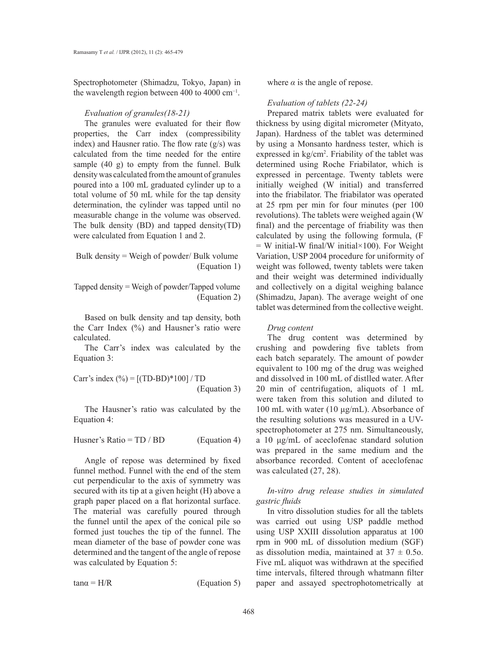Spectrophotometer (Shimadzu, Tokyo, Japan) in the wavelength region between 400 to 4000 cm−1.

#### *Evaluation of granules(18-21)*

The granules were evaluated for their flow properties, the Carr index (compressibility index) and Hausner ratio. The flow rate (g/s) was calculated from the time needed for the entire sample (40 g) to empty from the funnel. Bulk density was calculated from the amount of granules poured into a 100 mL graduated cylinder up to a total volume of 50 mL while for the tap density determination, the cylinder was tapped until no measurable change in the volume was observed. The bulk density (BD) and tapped density(TD) were calculated from Equation 1 and 2.

Bulk density = Weigh of powder/ Bulk volume (Equation 1)

Tapped density = Weigh of powder/Tapped volume (Equation 2)

Based on bulk density and tap density, both the Carr Index (%) and Hausner's ratio were calculated.

The Carr's index was calculated by the Equation 3:

Carr's index  $(^{0}_{0}) = [(TD-BD)*100] / TD$ (Equation 3)

The Hausner's ratio was calculated by the Equation 4:

Husner's Ratio =  $TD / BD$  (Equation 4)

Angle of repose was determined by fixed funnel method. Funnel with the end of the stem cut perpendicular to the axis of symmetry was secured with its tip at a given height (H) above a graph paper placed on a flat horizontal surface. The material was carefully poured through the funnel until the apex of the conical pile so formed just touches the tip of the funnel. The mean diameter of the base of powder cone was determined and the tangent of the angle of repose was calculated by Equation 5:

 $tan\alpha = H/R$  (Equation 5)

where  $\alpha$  is the angle of repose.

#### *Evaluation of tablets (22-24)*

Prepared matrix tablets were evaluated for thickness by using digital micrometer (Mityato, Japan). Hardness of the tablet was determined by using a Monsanto hardness tester, which is expressed in kg/cm<sup>2</sup>. Friability of the tablet was determined using Roche Friabilator, which is expressed in percentage. Twenty tablets were initially weighed (W initial) and transferred into the friabilator. The friabilator was operated at 25 rpm per min for four minutes (per 100 revolutions). The tablets were weighed again (W final) and the percentage of friability was then calculated by using the following formula, (F  $=$  W initial-W final/W initial×100). For Weight Variation, USP 2004 procedure for uniformity of weight was followed, twenty tablets were taken and their weight was determined individually and collectively on a digital weighing balance (Shimadzu, Japan). The average weight of one tablet was determined from the collective weight.

### *Drug content*

The drug content was determined by crushing and powdering five tablets from each batch separately. The amount of powder equivalent to 100 mg of the drug was weighed and dissolved in 100 mL of distlled water. After 20 min of centrifugation, aliquots of 1 mL were taken from this solution and diluted to 100 mL with water (10 μg/mL). Absorbance of the resulting solutions was measured in a UVspectrophotometer at 275 nm. Simultaneously, a 10 μg/mL of aceclofenac standard solution was prepared in the same medium and the absorbance recorded. Content of aceclofenac was calculated (27, 28).

# *In-vitro drug release studies in simulated gastric fluids*

In vitro dissolution studies for all the tablets was carried out using USP paddle method using USP XXIII dissolution apparatus at 100 rpm in 900 mL of dissolution medium (SGF) as dissolution media, maintained at  $37 \pm 0.5$ o. Five mL aliquot was withdrawn at the specified time intervals, filtered through whatmann filter paper and assayed spectrophotometrically at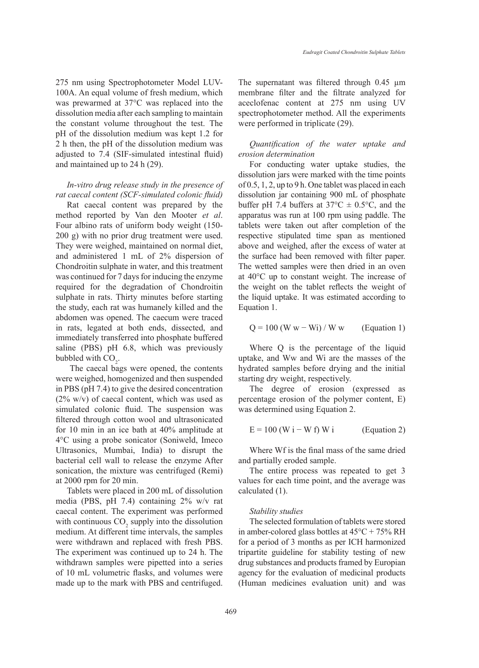275 nm using Spectrophotometer Model LUV-100A. An equal volume of fresh medium, which was prewarmed at 37°C was replaced into the dissolution media after each sampling to maintain the constant volume throughout the test. The pH of the dissolution medium was kept 1.2 for 2 h then, the pH of the dissolution medium was adjusted to 7.4 (SIF-simulated intestinal fluid) and maintained up to 24 h (29).

# *In-vitro drug release study in the presence of rat caecal content (SCF-simulated colonic fluid)*

Rat caecal content was prepared by the method reported by Van den Mooter *et al*. Four albino rats of uniform body weight (150- 200 g) with no prior drug treatment were used. They were weighed, maintained on normal diet, and administered 1 mL of 2% dispersion of Chondroitin sulphate in water, and this treatment was continued for 7 days for inducing the enzyme required for the degradation of Chondroitin sulphate in rats. Thirty minutes before starting the study, each rat was humanely killed and the abdomen was opened. The caecum were traced in rats, legated at both ends, dissected, and immediately transferred into phosphate buffered saline (PBS) pH 6.8, which was previously bubbled with  $CO<sub>2</sub>$ .

 The caecal bags were opened, the contents were weighed, homogenized and then suspended in PBS (pH 7.4) to give the desired concentration (2% w/v) of caecal content, which was used as simulated colonic fluid. The suspension was filtered through cotton wool and ultrasonicated for 10 min in an ice bath at 40% amplitude at 4°C using a probe sonicator (Soniweld, Imeco Ultrasonics, Mumbai, India) to disrupt the bacterial cell wall to release the enzyme After sonication, the mixture was centrifuged (Remi) at 2000 rpm for 20 min.

Tablets were placed in 200 mL of dissolution media (PBS, pH 7.4) containing 2% w/v rat caecal content. The experiment was performed with continuous  $CO_2$  supply into the dissolution medium. At different time intervals, the samples were withdrawn and replaced with fresh PBS. The experiment was continued up to 24 h. The withdrawn samples were pipetted into a series of 10 mL volumetric flasks, and volumes were made up to the mark with PBS and centrifuged.

The supernatant was filtered through 0.45  $\mu$ m membrane filter and the filtrate analyzed for aceclofenac content at 275 nm using UV spectrophotometer method. All the experiments were performed in triplicate (29).

*Quantification of the water uptake and erosion determination*

For conducting water uptake studies, the dissolution jars were marked with the time points of 0.5, 1, 2, up to 9 h. One tablet was placed in each dissolution jar containing 900 mL of phosphate buffer pH 7.4 buffers at  $37^{\circ}C \pm 0.5^{\circ}C$ , and the apparatus was run at 100 rpm using paddle. The tablets were taken out after completion of the respective stipulated time span as mentioned above and weighed, after the excess of water at the surface had been removed with filter paper. The wetted samples were then dried in an oven at 40°C up to constant weight. The increase of the weight on the tablet reflects the weight of the liquid uptake. It was estimated according to Equation 1.

$$
Q = 100
$$
 (W w – Wi) / W w (Equation 1)

Where Q is the percentage of the liquid uptake, and Ww and Wi are the masses of the hydrated samples before drying and the initial starting dry weight, respectively.

The degree of erosion (expressed as percentage erosion of the polymer content, E) was determined using Equation 2.

$$
E = 100 (W i - W f) W i
$$
 (Equation 2)

Where Wf is the final mass of the same dried and partially eroded sample.

The entire process was repeated to get 3 values for each time point, and the average was calculated (1).

#### *Stability studies*

The selected formulation of tablets were stored in amber-colored glass bottles at  $45^{\circ}$ C + 75% RH for a period of 3 months as per ICH harmonized tripartite guideline for stability testing of new drug substances and products framed by Europian agency for the evaluation of medicinal products (Human medicines evaluation unit) and was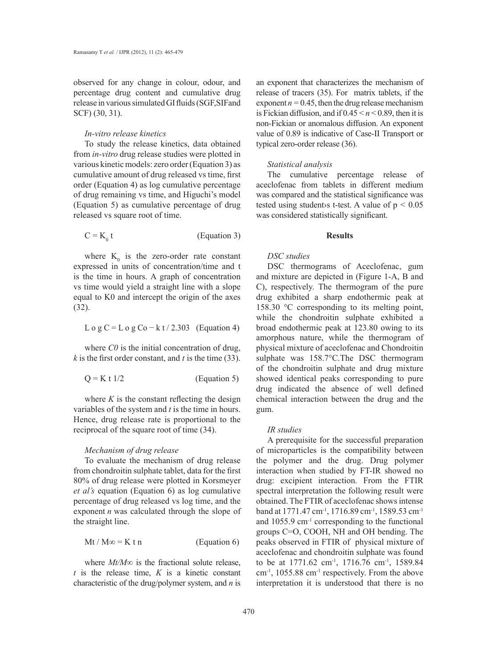observed for any change in colour, odour, and percentage drug content and cumulative drug release in various simulated GI fluids (SGF,SIFand SCF) (30, 31).

### *In-vitro release kinetics*

To study the release kinetics, data obtained from *in-vitro* drug release studies were plotted in various kinetic models: zero order (Equation 3) as cumulative amount of drug released vs time, first order (Equation 4) as log cumulative percentage of drug remaining vs time, and Higuchi's model (Equation 5) as cumulative percentage of drug released vs square root of time.

$$
C = K_0 t \t\t (Equation 3)
$$

where  $K_0$  is the zero-order rate constant expressed in units of concentration/time and t is the time in hours. A graph of concentration vs time would yield a straight line with a slope equal to K0 and intercept the origin of the axes (32).

$$
L \circ g C = L \circ g C \circ k t / 2.303
$$
 (Equation 4)

where *C0* is the initial concentration of drug, *k* is the first order constant, and *t* is the time (33).

$$
Q = K t 1/2
$$
 (Equation 5)

where  $K$  is the constant reflecting the design variables of the system and *t* is the time in hours. Hence, drug release rate is proportional to the reciprocal of the square root of time (34).

# *Mechanism of drug release*

To evaluate the mechanism of drug release from chondroitin sulphate tablet, data for the first 80% of drug release were plotted in Korsmeyer *et al's* equation (Equation 6) as log cumulative percentage of drug released vs log time, and the exponent *n* was calculated through the slope of the straight line.

$$
Mt / M\infty = K t n
$$
 (Equation 6)

where *Mt/M∞* is the fractional solute release,  $t$  is the release time,  $K$  is a kinetic constant characteristic of the drug/polymer system, and *n* is

an exponent that characterizes the mechanism of release of tracers (35). For matrix tablets, if the exponent  $n = 0.45$ , then the drug release mechanism is Fickian diffusion, and if  $0.45 \le n \le 0.89$ , then it is non-Fickian or anomalous diffusion. An exponent value of 0.89 is indicative of Case-II Transport or typical zero-order release (36).

#### *Statistical analysis*

The cumulative percentage release of aceclofenac from tablets in different medium was compared and the statistical significance was tested using students t-test. A value of  $p < 0.05$ was considered statistically significant.

#### **Results**

## *DSC studies*

DSC thermograms of Aceclofenac, gum and mixture are depicted in (Figure 1-A, B and C), respectively. The thermogram of the pure drug exhibited a sharp endothermic peak at 158.30 °C corresponding to its melting point, while the chondroitin sulphate exhibited a broad endothermic peak at 123.80 owing to its amorphous nature, while the thermogram of physical mixture of aceclofenac and Chondroitin sulphate was 158.7°C.The DSC thermogram of the chondroitin sulphate and drug mixture showed identical peaks corresponding to pure drug indicated the absence of well defined chemical interaction between the drug and the gum.

#### *IR studies*

A prerequisite for the successful preparation of microparticles is the compatibility between the polymer and the drug. Drug polymer interaction when studied by FT-IR showed no drug: excipient interaction. From the FTIR spectral interpretation the following result were obtained. The FTIR of aceclofenac shows intense band at 1771.47 cm<sup>-1</sup>, 1716.89 cm<sup>-1</sup>, 1589.53 cm<sup>-1</sup> and 1055.9 cm-1 corresponding to the functional groups C=O, COOH, NH and OH bending. The peaks observed in FTIR of physical mixture of aceclofenac and chondroitin sulphate was found to be at 1771.62 cm<sup>-1</sup>, 1716.76 cm<sup>-1</sup>, 1589.84 cm-1, 1055.88 cm-1 respectively. From the above interpretation it is understood that there is no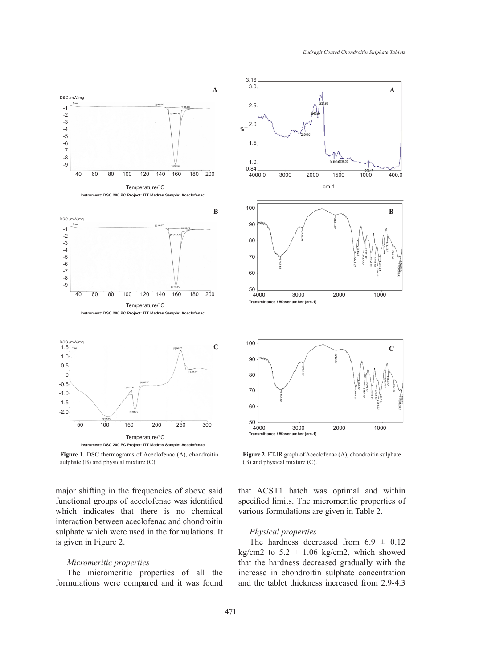

**Figure 1.** DSC thermograms of Aceclofenac (A), chondroitin sulphate (B) and physical mixture (C).

major shifting in the frequencies of above said functional groups of aceclofenac was identified which indicates that there is no chemical interaction between aceclofenac and chondroitin sulphate which were used in the formulations. It is given in Figure 2.

#### *Micromeritic properties*

The micromeritic properties of all the formulations were compared and it was found



**Figure 2.** FT-IR graph of Aceclofenac (A), chondroitin sulphate (B) and physical mixture (C).

that ACST1 batch was optimal and within specified limits. The micromeritic properties of various formulations are given in Table 2.

## *Physical properties*

The hardness decreased from  $6.9 \pm 0.12$ kg/cm2 to  $5.2 \pm 1.06$  kg/cm2, which showed that the hardness decreased gradually with the increase in chondroitin sulphate concentration and the tablet thickness increased from 2.9-4.3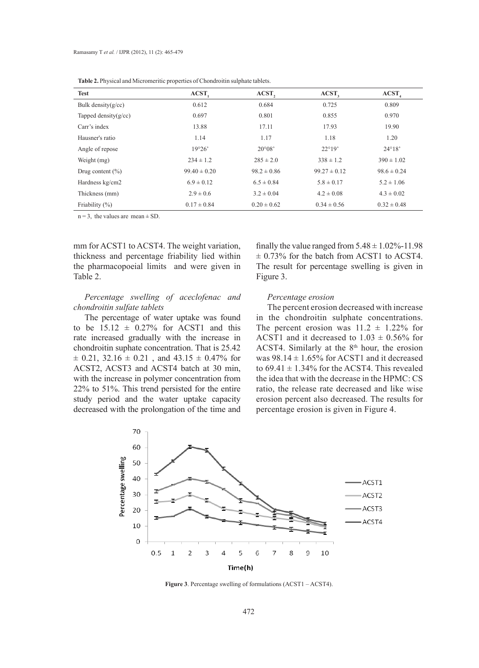| <b>THOICE</b> IT IT FORM the <b>HIGHTHING DEPTHING OF CHOIGHORING</b> Supplime thorous. |                  |                 |                   |                   |  |  |  |
|-----------------------------------------------------------------------------------------|------------------|-----------------|-------------------|-------------------|--|--|--|
| <b>Test</b>                                                                             | ACST,            | ACST,           | ACST <sub>2</sub> | ACST <sub>4</sub> |  |  |  |
| Bulk density $(g/cc)$                                                                   | 0.612            | 0.684           | 0.725             | 0.809             |  |  |  |
| Tapped density $(g/cc)$                                                                 | 0.697            | 0.801           | 0.855             | 0.970             |  |  |  |
| Carr's index                                                                            | 13.88            | 17.11           | 17.93             | 19.90             |  |  |  |
| Hausner's ratio                                                                         | 1.14             | 1.17            | 1.18              | 1.20              |  |  |  |
| Angle of repose                                                                         | 19°26'           | $20^{\circ}08'$ | $22^{\circ}19'$   | $24^{\circ}18'$   |  |  |  |
| Weight (mg)                                                                             | $234 \pm 1.2$    | $285 \pm 2.0$   | $338 \pm 1.2$     | $390 \pm 1.02$    |  |  |  |
| Drug content $(\% )$                                                                    | $99.40 \pm 0.20$ | $98.2 \pm 0.86$ | $99.27 \pm 0.12$  | $98.6 \pm 0.24$   |  |  |  |
| Hardness kg/cm2                                                                         | $6.9 \pm 0.12$   | $6.5 \pm 0.84$  | $5.8 \pm 0.17$    | $5.2 \pm 1.06$    |  |  |  |
| Thickness (mm)                                                                          | $2.9 \pm 0.6$    | $3.2 \pm 0.04$  | $4.2 \pm 0.08$    | $4.3 \pm 0.02$    |  |  |  |
| Friability $(\%)$                                                                       | $0.17 \pm 0.84$  | $0.20 \pm 0.62$ | $0.34 \pm 0.56$   | $0.32 \pm 0.48$   |  |  |  |

Table 2. Physical and Micromeritic properties of Chondroitin sulphate tablets.

 $n = 3$ , the values are mean  $\pm$  SD.

mm for ACST1 to ACST4. The weight variation, thickness and percentage friability lied within the pharmacopoeial limits and were given in Table 2.

*Percentage swelling of aceclofenac and chondroitin sulfate tablets*

The percentage of water uptake was found to be  $15.12 \pm 0.27\%$  for ACST1 and this rate increased gradually with the increase in chondroitin suphate concentration. That is 25.42  $\pm$  0.21, 32.16  $\pm$  0.21, and 43.15  $\pm$  0.47% for ACST2, ACST3 and ACST4 batch at 30 min, with the increase in polymer concentration from 22% to 51%. This trend persisted for the entire study period and the water uptake capacity decreased with the prolongation of the time and

finally the value ranged from  $5.48 \pm 1.02\%$ -11.98  $\pm$  0.73% for the batch from ACST1 to ACST4. The result for percentage swelling is given in Figure 3.

## *Percentage erosion*

The percent erosion decreased with increase in the chondroitin sulphate concentrations. The percent erosion was  $11.2 \pm 1.22\%$  for ACST1 and it decreased to  $1.03 \pm 0.56\%$  for ACST4. Similarly at the  $8<sup>th</sup>$  hour, the erosion was  $98.14 \pm 1.65\%$  for ACST1 and it decreased to  $69.41 \pm 1.34\%$  for the ACST4. This revealed the idea that with the decrease in the HPMC: CS ratio, the release rate decreased and like wise erosion percent also decreased. The results for percentage erosion is given in Figure 4.



**Figure 3**. Percentage swelling of formulations (ACST1 – ACST4).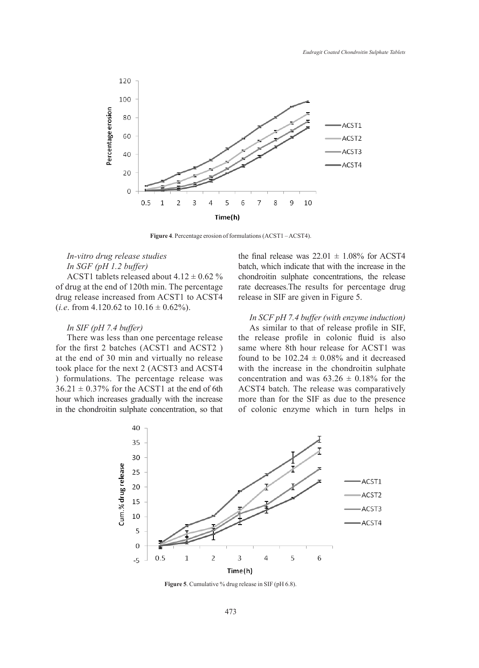

**Figure 4**. Percentage erosion of formulations (ACST1 – ACST4).

# *In-vitro drug release studies In SGF (pH 1.2 buffer)*

ACST1 tablets released about  $4.12 \pm 0.62$  % of drug at the end of 120th min. The percentage drug release increased from ACST1 to ACST4 (*i.e.* from 4.120.62 to  $10.16 \pm 0.62\%$ ).

## *In SIF (pH 7.4 buffer)*

There was less than one percentage release for the first 2 batches (ACST1 and ACST2 ) at the end of 30 min and virtually no release took place for the next 2 (ACST3 and ACST4 ) formulations. The percentage release was  $36.21 \pm 0.37\%$  for the ACST1 at the end of 6th hour which increases gradually with the increase in the chondroitin sulphate concentration, so that the final release was  $22.01 \pm 1.08\%$  for ACST4 batch, which indicate that with the increase in the chondroitin sulphate concentrations, the release rate decreases.The results for percentage drug release in SIF are given in Figure 5.

# *In SCF pH 7.4 buffer (with enzyme induction)*

As similar to that of release profile in SIF, the release profile in colonic fluid is also same where 8th hour release for ACST1 was found to be  $102.24 \pm 0.08\%$  and it decreased with the increase in the chondroitin sulphate concentration and was  $63.26 \pm 0.18\%$  for the ACST4 batch. The release was comparatively more than for the SIF as due to the presence of colonic enzyme which in turn helps in



**Figure 5**. Cumulative % drug release in SIF (pH 6.8).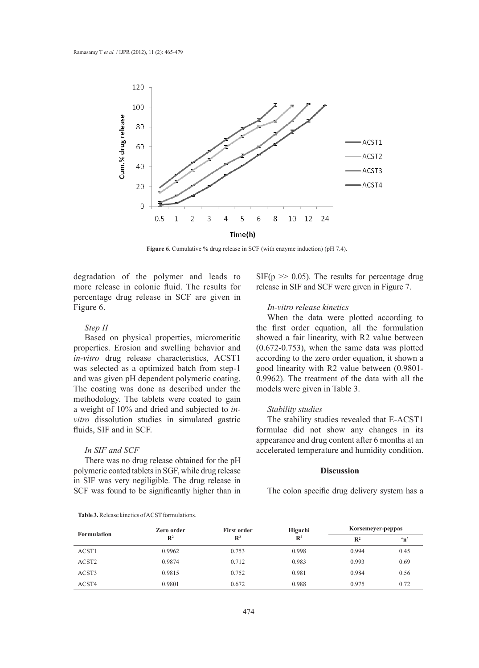

**Figure 6**. Cumulative % drug release in SCF (with enzyme induction) (pH 7.4).

degradation of the polymer and leads to more release in colonic fluid. The results for percentage drug release in SCF are given in Figure 6.

## *Step II*

Based on physical properties, micromeritic properties. Erosion and swelling behavior and *in-vitro* drug release characteristics, ACST1 was selected as a optimized batch from step-1 and was given pH dependent polymeric coating. The coating was done as described under the methodology. The tablets were coated to gain a weight of 10% and dried and subjected to *invitro* dissolution studies in simulated gastric fluids, SIF and in SCF.

## *In SIF and SCF*

There was no drug release obtained for the pH polymeric coated tablets in SGF, while drug release in SIF was very negiligible. The drug release in SCF was found to be significantly higher than in

 $SIF(p \gg 0.05)$ . The results for percentage drug release in SIF and SCF were given in Figure 7.

# *In-vitro release kinetics*

When the data were plotted according to the first order equation, all the formulation showed a fair linearity, with R2 value between (0.672-0.753), when the same data was plotted according to the zero order equation, it shown a good linearity with R2 value between (0.9801- 0.9962). The treatment of the data with all the models were given in Table 3.

#### *Stability studies*

The stability studies revealed that E-ACST1 formulae did not show any changes in its appearance and drug content after 6 months at an accelerated temperature and humidity condition.

# **Discussion**

The colon specific drug delivery system has a

| <b>Formulation</b> | Zero order     | <b>First order</b> | Higuchi<br>$\mathbb{R}^2$ | Korsemeyer-peppas |              |
|--------------------|----------------|--------------------|---------------------------|-------------------|--------------|
|                    | $\mathbb{R}^2$ | $\mathbb{R}^2$     |                           | $\mathbb{R}^2$    | $\mathbf{H}$ |
| ACST1              | 0.9962         | 0.753              | 0.998                     | 0.994             | 0.45         |
| ACST <sub>2</sub>  | 0.9874         | 0.712              | 0.983                     | 0.993             | 0.69         |
| ACST3              | 0.9815         | 0.752              | 0.981                     | 0.984             | 0.56         |
| ACST4              | 0.9801         | 0.672              | 0.988                     | 0.975             | 0.72         |

#### **Table 3.** Release kinetics of ACST formulations.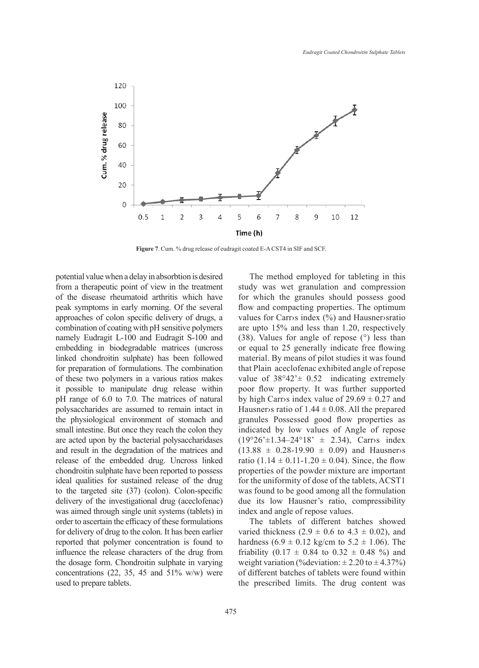

**Figure 7**. Cum. % drug release of eudragit coated E-A CST4 in SIF and SCF.

potential value when a delay in absorbtion is desired from a therapeutic point of view in the treatment of the disease rheumatoid arthritis which have peak symptoms in early morning. Of the several approaches of colon specific delivery of drugs, a combination of coating with pH sensitive polymers namely Eudragit L-100 and Eudragit S-100 and embedding in biodegradable matrices (uncross linked chondroitin sulphate) has been followed for preparation of formulations. The combination of these two polymers in a various ratios makes it possible to manipulate drug release within pH range of 6.0 to 7.0. The matrices of natural polysaccharides are assumed to remain intact in the physiological environment of stomach and small intestine. But once they reach the colon they are acted upon by the bacterial polysaccharidases and result in the degradation of the matrices and release of the embedded drug. Uncross linked chondroitin sulphate have been reported to possess ideal qualities for sustained release of the drug to the targeted site (37) (colon). Colon-specific delivery of the investigational drug (aceclofenac) was aimed through single unit systems (tablets) in order to ascertain the efficacy of these formulations for delivery of drug to the colon. It has been earlier reported that polymer concentration is found to influence the release characters of the drug from the dosage form. Chondroitin sulphate in varying concentrations  $(22, 35, 45, 45, 51\%)$  were used to prepare tablets.

475

The method employed for tableting in this study was wet granulation and compression for which the granules should possess good flow and compacting properties. The optimum values for Carr›s index (%) and Hausner›sratio are upto 15% and less than 1.20, respectively (38). Values for angle of repose (°) less than or equal to 25 generally indicate free flowing material. By means of pilot studies it was found that Plain aceclofenac exhibited angle of repose value of  $38^{\circ}42 \pm 0.52$  indicating extremely poor flow property. It was further supported by high Carr>s index value of  $29.69 \pm 0.27$  and Hausner is ratio of  $1.44 \pm 0.08$ . All the prepared granules Possessed good flow properties as indicated by low values of Angle of repose  $(19°26' \pm 1.34 - 24°18' \pm 2.34)$ , Carr>s index  $(13.88 \pm 0.28 - 19.90 \pm 0.09)$  and Hausner>s ratio  $(1.14 \pm 0.11 - 1.20 \pm 0.04)$ . Since, the flow properties of the powder mixture are important for the uniformity of dose of the tablets, ACST1 was found to be good among all the formulation due its low Hausner's ratio, compressibility index and angle of repose values.

The tablets of different batches showed varied thickness  $(2.9 \pm 0.6 \text{ to } 4.3 \pm 0.02)$ , and hardness  $(6.9 \pm 0.12 \text{ kg/cm to } 5.2 \pm 1.06)$ . The friability  $(0.17 \pm 0.84$  to  $0.32 \pm 0.48$  %) and weight variation (%deviation:  $\pm 2.20$  to  $\pm 4.37%$ ) of different batches of tablets were found within the prescribed limits. The drug content was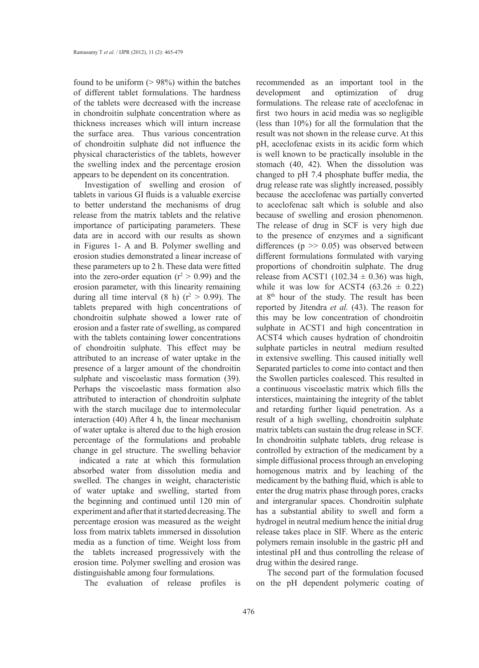found to be uniform  $(> 98\%)$  within the batches of different tablet formulations. The hardness of the tablets were decreased with the increase in chondroitin sulphate concentration where as thickness increases which will inturn increase the surface area. Thus various concentration of chondroitin sulphate did not influence the physical characteristics of the tablets, however the swelling index and the percentage erosion appears to be dependent on its concentration.

Investigation of swelling and erosion of tablets in various GI fluids is a valuable exercise to better understand the mechanisms of drug release from the matrix tablets and the relative importance of participating parameters. These data are in accord with our results as shown in Figures 1- A and B. Polymer swelling and erosion studies demonstrated a linear increase of these parameters up to 2 h. These data were fitted into the zero-order equation ( $r^2 > 0.99$ ) and the erosion parameter, with this linearity remaining during all time interval  $(8 \text{ h})$   $(r^2 > 0.99)$ . The tablets prepared with high concentrations of chondroitin sulphate showed a lower rate of erosion and a faster rate of swelling, as compared with the tablets containing lower concentrations of chondroitin sulphate. This effect may be attributed to an increase of water uptake in the presence of a larger amount of the chondroitin sulphate and viscoelastic mass formation (39). Perhaps the viscoelastic mass formation also attributed to interaction of chondroitin sulphate with the starch mucilage due to intermolecular interaction (40) After 4 h, the linear mechanism of water uptake is altered due to the high erosion percentage of the formulations and probable change in gel structure. The swelling behavior

indicated a rate at which this formulation absorbed water from dissolution media and swelled. The changes in weight, characteristic of water uptake and swelling, started from the beginning and continued until 120 min of experiment and after that it started decreasing. The percentage erosion was measured as the weight loss from matrix tablets immersed in dissolution media as a function of time. Weight loss from the tablets increased progressively with the erosion time. Polymer swelling and erosion was distinguishable among four formulations.

The evaluation of release profiles is

recommended as an important tool in the development and optimization of drug formulations. The release rate of aceclofenac in first two hours in acid media was so negligible (less than 10%) for all the formulation that the result was not shown in the release curve. At this pH, aceclofenac exists in its acidic form which is well known to be practically insoluble in the stomach (40, 42). When the dissolution was changed to pH 7.4 phosphate buffer media, the drug release rate was slightly increased, possibly because the aceclofenac was partially converted to aceclofenac salt which is soluble and also because of swelling and erosion phenomenon. The release of drug in SCF is very high due to the presence of enzymes and a significant differences ( $p \gg 0.05$ ) was observed between different formulations formulated with varying proportions of chondroitin sulphate. The drug release from ACST1 (102.34  $\pm$  0.36) was high, while it was low for ACST4  $(63.26 \pm 0.22)$ at 8th hour of the study. The result has been reported by Jitendra *et al.* (43). The reason for this may be low concentration of chondroitin sulphate in ACST1 and high concentration in ACST4 which causes hydration of chondroitin sulphate particles in neutral medium resulted in extensive swelling. This caused initially well Separated particles to come into contact and then the Swollen particles coalesced. This resulted in a continuous viscoelastic matrix which fills the interstices, maintaining the integrity of the tablet and retarding further liquid penetration. As a result of a high swelling, chondroitin sulphate matrix tablets can sustain the drug release in SCF. In chondroitin sulphate tablets, drug release is controlled by extraction of the medicament by a simple diffusional process through an enveloping homogenous matrix and by leaching of the medicament by the bathing fluid, which is able to enter the drug matrix phase through pores, cracks and intergranular spaces. Chondroitin sulphate has a substantial ability to swell and form a hydrogel in neutral medium hence the initial drug release takes place in SIF. Where as the enteric polymers remain insoluble in the gastric pH and intestinal pH and thus controlling the release of drug within the desired range.

The second part of the formulation focused on the pH dependent polymeric coating of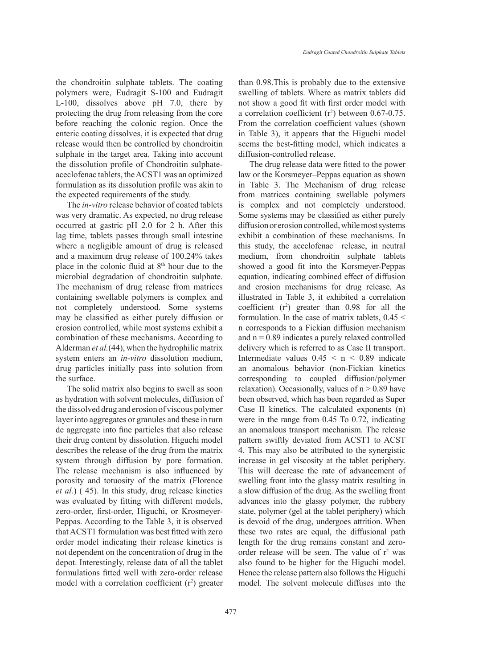the chondroitin sulphate tablets. The coating polymers were, Eudragit S-100 and Eudragit L-100, dissolves above pH 7.0, there by protecting the drug from releasing from the core before reaching the colonic region. Once the enteric coating dissolves, it is expected that drug release would then be controlled by chondroitin sulphate in the target area. Taking into account the dissolution profile of Chondroitin sulphateaceclofenac tablets, the ACST1 was an optimized formulation as its dissolution profile was akin to the expected requirements of the study.

The *in-vitro* release behavior of coated tablets was very dramatic. As expected, no drug release occurred at gastric pH 2.0 for 2 h. After this lag time, tablets passes through small intestine where a negligible amount of drug is released and a maximum drug release of 100.24% takes place in the colonic fluid at  $8<sup>th</sup>$  hour due to the microbial degradation of chondroitin sulphate. The mechanism of drug release from matrices containing swellable polymers is complex and not completely understood. Some systems may be classified as either purely diffusion or erosion controlled, while most systems exhibit a combination of these mechanisms. According to Alderman *et al.*(44), when the hydrophilic matrix system enters an *in-vitro* dissolution medium, drug particles initially pass into solution from the surface.

The solid matrix also begins to swell as soon as hydration with solvent molecules, diffusion of the dissolved drug and erosion of viscous polymer layer into aggregates or granules and these in turn de aggregate into fine particles that also release their drug content by dissolution. Higuchi model describes the release of the drug from the matrix system through diffusion by pore formation. The release mechanism is also influenced by porosity and totuosity of the matrix (Florence *et al.*) ( 45). In this study, drug release kinetics was evaluated by fitting with different models, zero-order, first-order, Higuchi, or Krosmeyer-Peppas. According to the Table 3, it is observed that ACST1 formulation was best fitted with zero order model indicating their release kinetics is not dependent on the concentration of drug in the depot. Interestingly, release data of all the tablet formulations fitted well with zero-order release model with a correlation coefficient  $(r^2)$  greater

477

than 0.98.This is probably due to the extensive swelling of tablets. Where as matrix tablets did not show a good fit with first order model with a correlation coefficient  $(r^2)$  between 0.67-0.75. From the correlation coefficient values (shown in Table 3), it appears that the Higuchi model seems the best-fitting model, which indicates a diffusion-controlled release.

The drug release data were fitted to the power law or the Korsmeyer–Peppas equation as shown in Table 3. The Mechanism of drug release from matrices containing swellable polymers is complex and not completely understood. Some systems may be classified as either purely diffusion or erosion controlled, while most systems exhibit a combination of these mechanisms. In this study, the aceclofenac release, in neutral medium, from chondroitin sulphate tablets showed a good fit into the Korsmeyer-Peppas equation, indicating combined effect of diffusion and erosion mechanisms for drug release. As illustrated in Table 3, it exhibited a correlation coefficient  $(r^2)$  greater than 0.98 for all the formulation. In the case of matrix tablets, 0.45 < n corresponds to a Fickian diffusion mechanism and  $n = 0.89$  indicates a purely relaxed controlled delivery which is referred to as Case II transport. Intermediate values  $0.45 < n < 0.89$  indicate an anomalous behavior (non-Fickian kinetics corresponding to coupled diffusion/polymer relaxation). Occasionally, values of  $n > 0.89$  have been observed, which has been regarded as Super Case II kinetics. The calculated exponents (n) were in the range from 0.45 To 0.72, indicating an anomalous transport mechanism. The release pattern swiftly deviated from ACST1 to ACST 4. This may also be attributed to the synergistic increase in gel viscosity at the tablet periphery. This will decrease the rate of advancement of swelling front into the glassy matrix resulting in a slow diffusion of the drug. As the swelling front advances into the glassy polymer, the rubbery state, polymer (gel at the tablet periphery) which is devoid of the drug, undergoes attrition. When these two rates are equal, the diffusional path length for the drug remains constant and zeroorder release will be seen. The value of  $r^2$  was also found to be higher for the Higuchi model. Hence the release pattern also follows the Higuchi model. The solvent molecule diffuses into the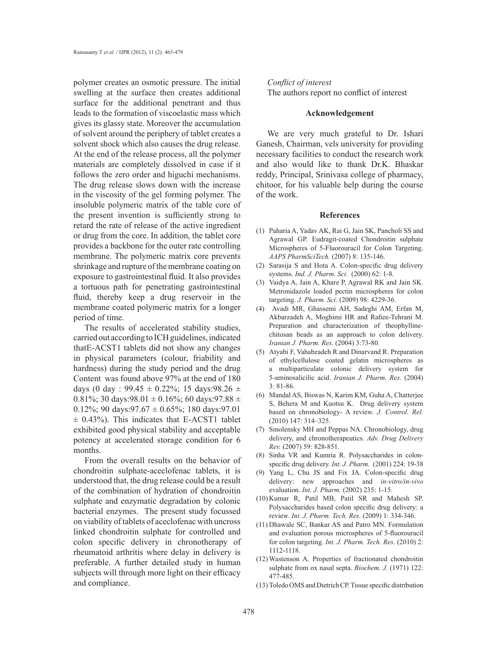polymer creates an osmotic pressure. The initial swelling at the surface then creates additional surface for the additional penetrant and thus leads to the formation of viscoelastic mass which gives its glassy state. Moreover the accumulation of solvent around the periphery of tablet creates a solvent shock which also causes the drug release. At the end of the release process, all the polymer materials are completely dissolved in case if it follows the zero order and higuchi mechanisms. The drug release slows down with the increase in the viscosity of the gel forming polymer. The insoluble polymeric matrix of the table core of the present invention is sufficiently strong to retard the rate of release of the active ingredient or drug from the core. In addition, the tablet core provides a backbone for the outer rate controlling membrane. The polymeric matrix core prevents shrinkage and rupture of the membrane coating on exposure to gastrointestinal fluid. It also provides a tortuous path for penetrating gastrointestinal fluid, thereby keep a drug reservoir in the membrane coated polymeric matrix for a longer period of time.

The results of accelerated stability studies, carried out according to ICH guidelines, indicated thatE-ACST1 tablets did not show any changes in physical parameters (colour, friability and hardness) during the study period and the drug Content was found above 97% at the end of 180 days (0 day : 99.45  $\pm$  0.22%; 15 days:98.26  $\pm$ 0.81%; 30 days:98.01  $\pm$  0.16%; 60 days:97.88  $\pm$ 0.12%; 90 days: 97.67  $\pm$  0.65%; 180 days: 97.01  $\pm$  0.43%). This indicates that E-ACST1 tablet exhibited good physical stability and acceptable potency at accelerated storage condition for 6 months.

From the overall results on the behavior of chondroitin sulphate-aceclofenac tablets, it is understood that, the drug release could be a result of the combination of hydration of chondroitin sulphate and enzymatic degradation by colonic bacterial enzymes. The present study focussed on viability of tablets of aceclofenac with uncross linked chondroitin sulphate for controlled and colon specific delivery in chronotherapy of rheumatoid arthritis where delay in delivery is preferable. A further detailed study in human subjects will through more light on their efficacy and compliance.

# *Conflict of interest* The authors report no conflict of interest

#### **Acknowledgement**

We are very much grateful to Dr. Ishari Ganesh, Chairman, vels university for providing necessary facilities to conduct the research work and also would like to thank Dr.K. Bhaskar reddy, Principal, Srinivasa college of pharmacy, chitoor, for his valuable help during the course of the work.

#### **References**

- Paharia A, Yadav AK, Rai G, Jain SK, Pancholi SS and (1) Agrawal GP. Eudragit-coated Chondroitin sulphate Microspheres of 5-Fluorouracil for Colon Targeting. *AAPS PharmSciTech.* (2007) 8: 135-146.
- (2) Sarasija S and Hota A. Colon-specific drug delivery systems. *Ind. J. Pharm. Sci.* (2000) 62: 1-8.
- Vaidya A, Jain A, Khare P, Agrawal RK and Jain SK. Metronidazole loaded pectin microspheres for colon targeting. *J. Pharm. Sci*. (2009) 98: 4229-36. (3)
- Avadi MR, Ghassemi AH, Sadeghi AM, Erfan M, (4) Akbarzadeh A, Moghimi HR and Rafiee-Tehrani M. Preparation and characterization of theophyllinechitosan beads as an aapproach to colon delivery. *Iranian J. Pharm. Res*. (2004) 3:73-80.
- Atyabi F, Vahabzadeh R and Dinarvand R. Preparation (5) of ethylcellulose coated gelatin microspheres as a multiparticulate colonic delivery system for 5-aminosalicilic acid. *Iranian J. Pharm. Res*. (2004) 3: 81-86.
- Mandal AS, Biswas N, Karim KM, Guha A, Chatterjee (6) S, Behera M and Kuotsu K. Drug delivery system based on chronobiology- A review. *J. Control. Rel.* (2010) 147: 314–325.
- (7) Smolensky MH and Peppas NA. Chronobiology, drug delivery, and chronotherapeutics. *Adv. Drug Delivery Rev.* (2007) 59: 828-851.
- (8) Sinha VR and Kumria R. Polysaccharides in colonspecific drug delivery. *Int. J. Pharm.* (2001) 224: 19-38
- (9) Yang L, Chu JS and Fix JA. Colon-specific drug delivery: new approaches and *in-vitro/in-vivo* evaluation. *Int. J. Pharm.* (2002) 235: 1-15.
- $(10)$  Kumar R, Patil MB, Patil SR and Mahesh SP. Polysaccharides based colon specific drug delivery: a review. *Int. J. Pharm. Tech. Res*. (2009) 1: 334-346.
- (11) Dhawale SC, Bankar AS and Patro MN. Formulation and evaluation porous microspheres of 5-fluorouracil for colon targeting. *Int. J. Pharm. Tech. Res*. (2010) 2: 1112-1118.
- Wastenson A. Properties of fractionated chondroitin (12) sulphate from ox nasal septa. *Biochem. J.* (1971) 122: 477-485.
- Toledo OMS and Dietrich CP. Tissue specific distribution (13)